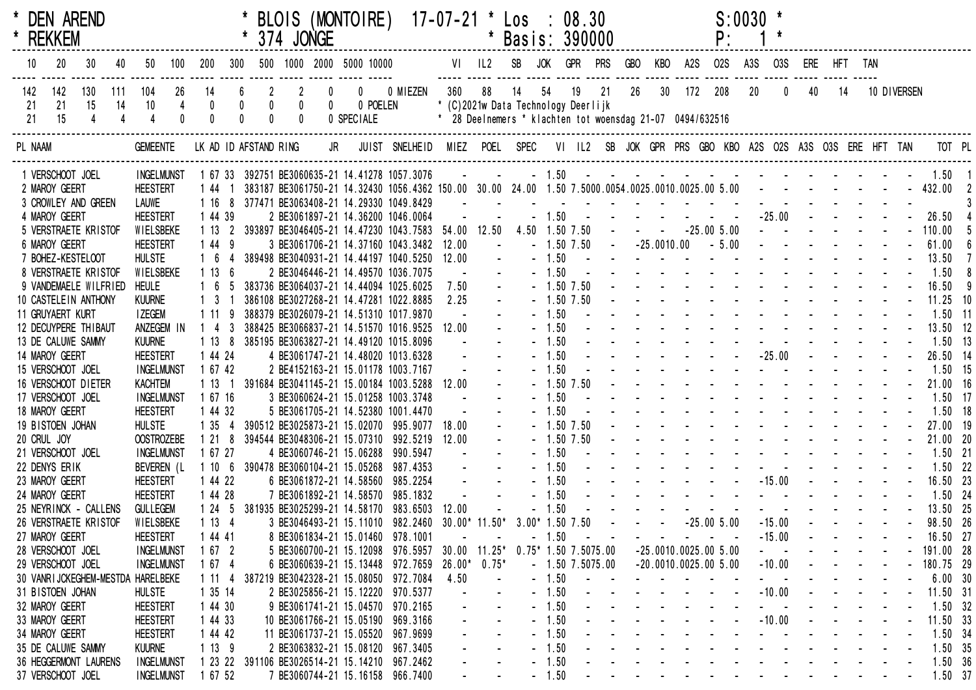| * REKKEM         | * DEN AREND                                |     |    |                                   |                                      |                                |     |                                                          | 374 JONGE                                |                                | BLOIS (MONTOIRE)                                                                                                       |                               | 17-07-21 * Los : |                                   | * Basis: 390000                                                                                        |                    | 08.30                  |    |                                                                 |    |                                                                                                                                                                                                                                | P:           | $S:0030$ * |                  |                                                                                                                                                                                                                                |    |             |                       |  |
|------------------|--------------------------------------------|-----|----|-----------------------------------|--------------------------------------|--------------------------------|-----|----------------------------------------------------------|------------------------------------------|--------------------------------|------------------------------------------------------------------------------------------------------------------------|-------------------------------|------------------|-----------------------------------|--------------------------------------------------------------------------------------------------------|--------------------|------------------------|----|-----------------------------------------------------------------|----|--------------------------------------------------------------------------------------------------------------------------------------------------------------------------------------------------------------------------------|--------------|------------|------------------|--------------------------------------------------------------------------------------------------------------------------------------------------------------------------------------------------------------------------------|----|-------------|-----------------------|--|
| 10               | 20<br>30                                   |     | 40 | 50                                | 100                                  | 200                            | 300 |                                                          |                                          |                                | 500 1000 2000 5000 10000                                                                                               |                               |                  |                                   | VI IL2 SB JOK                                                                                          |                    | GPR PRS                |    | <b>GBO</b>                                                      |    | KBO A2S                                                                                                                                                                                                                        | <b>02S</b>   | A3S        | O3S              | ERE HFT TAN                                                                                                                                                                                                                    |    |             |                       |  |
| 142<br>-21<br>21 | 142<br>130<br>21<br>15<br>15               | 111 | 14 | 104<br>10                         | 26<br>$\overline{4}$<br>$\mathbf{0}$ | 14<br>$\pmb{0}$<br>$\mathbf 0$ |     | $\overline{2}$<br>$\begin{bmatrix} 0 \\ 0 \end{bmatrix}$ | $\mathbf{2}$<br>$\pmb{0}$<br>$\mathbf 0$ | $\overline{0}$<br>$\mathbf{0}$ | 0 POELEN<br>0 SPECIALE                                                                                                 | 0 0 MIEZEN                    | 360              | 88                                | 14<br>* (C)2021w Data Technology Deerlijk<br>* 28 Deelnemers * klachten tot woensdag 21-07 0494/632516 | 54                 | 19                     | 21 | 26                                                              | 30 | 172 208                                                                                                                                                                                                                        |              | $20\,$     | $\boldsymbol{0}$ | 40                                                                                                                                                                                                                             | 14 | 10 DIVERSEN |                       |  |
| PL NAAM          |                                            |     |    | <b>GEMEENTE</b>                   |                                      |                                |     |                                                          |                                          | LK AD ID AFSTAND RING JR       |                                                                                                                        | JUIST SNELHEID MIEZ POEL SPEC |                  |                                   |                                                                                                        |                    |                        |    |                                                                 |    | VI IL2 SB JOK GPR PRS GBO KBO A2S O2S A3S O3S ERE HFT TAN                                                                                                                                                                      |              |            |                  |                                                                                                                                                                                                                                |    |             | TOT PL                |  |
|                  | 1 VERSCHOOT JOEL                           |     |    | <b>INGELMUNST</b>                 |                                      |                                |     |                                                          |                                          |                                | 1 67 33 392751 BE3060635-21 14.41278 1057.3076                                                                         |                               |                  | <b>Contract Contract Contract</b> |                                                                                                        |                    |                        |    |                                                                 |    |                                                                                                                                                                                                                                |              |            |                  |                                                                                                                                                                                                                                |    |             | $-1.50$ 1.50 1        |  |
| 2 MAROY GEERT    |                                            |     |    | <b>HEESTERT</b>                   |                                      | 144 1                          |     |                                                          |                                          |                                | 383187 BE3061750-21 14.32430 1056.4362 150.00 30.00 24.00 1.50 7.5000.0054.0025.0010.0025.00 5.00 - - - - - - - 432.00 |                               |                  |                                   |                                                                                                        |                    |                        |    |                                                                 |    |                                                                                                                                                                                                                                |              |            |                  |                                                                                                                                                                                                                                |    |             |                       |  |
|                  | 3 CROWLEY AND GREEN                        |     |    | LAUWE                             |                                      | 1 16                           |     |                                                          |                                          |                                | 8 377471 BE3063408-21 14.29330 1049.8429                                                                               |                               | $\sim$           |                                   |                                                                                                        |                    |                        |    |                                                                 |    |                                                                                                                                                                                                                                |              |            |                  |                                                                                                                                                                                                                                |    |             |                       |  |
| 4 MAROY GEERT    |                                            |     |    | <b>HEESTERT</b>                   |                                      | 1 44 39                        |     |                                                          |                                          |                                | 2 BE3061897-21 14.36200 1046.0064                                                                                      |                               | $\omega$         |                                   |                                                                                                        |                    |                        |    |                                                                 |    | $-1.50$ $       -$                                                                                                                                                                                                             |              |            |                  | $-25.00$ - - - -                                                                                                                                                                                                               |    |             | 26.50                 |  |
|                  | 5 VERSTRAETE KRISTOF                       |     |    | WIELSBEKE                         |                                      | 1 13                           |     |                                                          |                                          |                                | 2 393897 BE3046405-21 14.47230 1043.7583 54.00 12.50                                                                   |                               |                  |                                   |                                                                                                        |                    | 4.50 1.50 7.50         |    | $\mathcal{L}(\mathbf{z})$ , and $\mathcal{L}(\mathbf{z})$ , and |    |                                                                                                                                                                                                                                | $-25.005.00$ |            |                  | $\mathbf{L}^{\text{max}}$ , and $\mathbf{L}^{\text{max}}$ , and $\mathbf{L}^{\text{max}}$                                                                                                                                      |    |             | 110.00                |  |
| 6 MAROY GEERT    |                                            |     |    | <b>HEESTERT</b>                   |                                      | 1 44 9                         |     |                                                          |                                          |                                | 3 BE3061706-21 14.37160 1043.3482                                                                                      |                               | 12.00            |                                   |                                                                                                        |                    | $-1.50$ 7.50           |    | $-25.0010.00$                                                   |    |                                                                                                                                                                                                                                | $-5.00$      |            |                  | and the second control of the                                                                                                                                                                                                  |    |             | 61.00                 |  |
|                  | 7 BOHEZ-KESTELOOT                          |     |    | <b>HULSTE</b>                     |                                      |                                |     |                                                          |                                          |                                | 389498 BE3040931-21 14.44197 1040.5250                                                                                 |                               | 12.00            |                                   |                                                                                                        | $-1.50$            |                        |    |                                                                 |    | the second contract of the second contract of the second contract of the second contract of the second contract of the second contract of the second contract of the second contract of the second contract of the second cont |              |            |                  |                                                                                                                                                                                                                                |    |             | 13.50                 |  |
|                  | 8 VERSTRAETE KRISTOF                       |     |    | WIELSBEKE                         |                                      | 1 13                           |     |                                                          |                                          |                                | 2 BE3046446-21 14.49570 1036.7075                                                                                      |                               |                  |                                   |                                                                                                        | $-1.50$            |                        |    |                                                                 |    | the second contract of the second contract of<br>and the state of the state of the state of the                                                                                                                                |              |            |                  |                                                                                                                                                                                                                                |    |             | 1.50                  |  |
|                  | 9 VANDEMAELE WILFRIED                      |     |    | <b>HEULE</b>                      |                                      |                                |     |                                                          |                                          |                                | 383736 BE3064037-21 14.44094 1025.6025                                                                                 |                               | 7.50             |                                   |                                                                                                        |                    | $-1.50$ 7.50           |    |                                                                 |    | and the state of the state of the state of the                                                                                                                                                                                 |              |            |                  |                                                                                                                                                                                                                                |    |             | 16.50                 |  |
|                  | 10 CASTELEIN ANTHONY                       |     |    | <b>KUURNE</b>                     |                                      |                                |     |                                                          |                                          |                                | 386108 BE3027268-21 14.47281 1022.8885                                                                                 |                               | 2.25             |                                   |                                                                                                        |                    | $-1.50$ 7.50           |    |                                                                 |    | the second contract of the second contract of the second contract of the second contract of the second contract of the second contract of the second contract of the second contract of the second contract of the second cont |              |            |                  |                                                                                                                                                                                                                                |    |             | $11.25$ 10            |  |
|                  | 11 GRUYAERT KURT                           |     |    | <b>I ZEGEM</b>                    |                                      | 1 1 1                          |     |                                                          |                                          |                                | 388379 BE3026079-21 14.51310 1017.9870                                                                                 |                               |                  |                                   |                                                                                                        | $-1.50$<br>$-1.50$ |                        |    |                                                                 |    | and the state of the state of the state of the                                                                                                                                                                                 |              |            |                  |                                                                                                                                                                                                                                |    |             | $1.50$ 11             |  |
|                  | 12 DECUYPERE THIBAUT<br>13 DE CALUWE SAMMY |     |    | ANZEGEM IN<br><b>KUURNE</b>       |                                      | $1\quad 4$<br>1 13             |     |                                                          |                                          |                                | 388425 BE3066837-21 14.51570 1016.9525<br>385195 BE3063827-21 14.49120 1015.8096                                       |                               | 12.00            |                                   |                                                                                                        | $-1.50$            |                        |    |                                                                 |    |                                                                                                                                                                                                                                |              |            |                  |                                                                                                                                                                                                                                |    |             | 13.50 12<br>$1.50$ 13 |  |
| 14 MAROY GEERT   |                                            |     |    | <b>HEESTERT</b>                   |                                      | 1 44 24                        |     |                                                          |                                          |                                | 4 BE3061747-21 14.48020 1013.6328                                                                                      |                               |                  |                                   |                                                                                                        | $-1.50$            |                        |    |                                                                 |    |                                                                                                                                                                                                                                |              |            | $-25.00$         | and the second second and the second                                                                                                                                                                                           |    |             | 26.50 14              |  |
|                  | 15 VERSCHOOT JOEL                          |     |    | <b>INGELMUNST</b>                 |                                      | 1 67 42                        |     |                                                          |                                          |                                | 2 BE4152163-21 15.01178 1003.7167                                                                                      |                               |                  |                                   |                                                                                                        | $-1.50$            |                        |    |                                                                 |    | and a state of the state of the state of the                                                                                                                                                                                   |              |            |                  |                                                                                                                                                                                                                                |    |             | $1.50$ 15             |  |
|                  | 16 VERSCHOOT DIETER                        |     |    | <b>KACHTEM</b>                    |                                      | 113                            |     |                                                          |                                          |                                | 391684 BE3041145-21 15.00184 1003.5288                                                                                 |                               | 12.00            |                                   |                                                                                                        |                    | $-1.50$ 7.50           |    |                                                                 |    | and the state of the state of the state of the                                                                                                                                                                                 |              |            |                  |                                                                                                                                                                                                                                |    |             | 21.00 16              |  |
|                  | 17 VERSCHOOT JOEL                          |     |    | <b>INGELMUNST</b>                 |                                      | 1 67 16                        |     |                                                          |                                          |                                | 3 BE3060624-21 15.01258 1003.3748                                                                                      |                               |                  |                                   |                                                                                                        | $-1.50$            |                        |    |                                                                 |    | and the state of the state of the state of the                                                                                                                                                                                 |              |            |                  |                                                                                                                                                                                                                                |    |             | $1.50$ 17             |  |
| 18 MAROY GEERT   |                                            |     |    | <b>HEESTERT</b>                   |                                      | 1 44 32                        |     |                                                          |                                          |                                | 5 BE3061705-21 14.52380 1001.4470                                                                                      |                               |                  |                                   |                                                                                                        | $-1.50$            |                        |    |                                                                 |    | design and a state of the state of the state of the state of the state of the state of the state of the state of the state of the state of the state of the state of the state of the state of the state of the state of the s |              |            |                  |                                                                                                                                                                                                                                |    |             | $1.50$ 18             |  |
|                  | 19 BISTOEN JOHAN                           |     |    | <b>HULSTE</b>                     |                                      | 1 35                           |     |                                                          |                                          |                                | 390512 BE3025873-21 15.02070 995.9077                                                                                  |                               | 18.00            |                                   |                                                                                                        |                    | $-1.50$ 7.50           |    |                                                                 |    | and the state of the state of the state of the state of the state of the state of the state of the state of the                                                                                                                |              |            |                  |                                                                                                                                                                                                                                |    |             | 27.00 19              |  |
| 20 CRUL JOY      |                                            |     |    | <b>OOSTROZEBE</b>                 |                                      | 121                            |     |                                                          |                                          |                                | 394544 BE3048306-21 15.07310 992.5219                                                                                  |                               | 12.00            |                                   |                                                                                                        |                    | $-1.50$ 7.50           |    |                                                                 |    | the contract of the contract of the contract of the contract of the contract of the contract of the contract of                                                                                                                |              |            |                  |                                                                                                                                                                                                                                |    |             | 21.00 20              |  |
|                  | 21 VERSCHOOT JOEL                          |     |    | <b>INGELMUNST</b>                 |                                      | 1 67 27                        |     |                                                          |                                          |                                | 4 BE3060746-21 15.06288 990.5947                                                                                       |                               |                  |                                   |                                                                                                        | $-1.50$            |                        |    |                                                                 |    | and the second contract of the second contract of                                                                                                                                                                              |              |            |                  |                                                                                                                                                                                                                                |    |             | $1.50$ 21             |  |
| 22 DENYS ERIK    |                                            |     |    | BEVEREN (L                        |                                      | 1106                           |     |                                                          |                                          |                                | 390478 BE3060104-21 15.05268 987.4353                                                                                  |                               |                  |                                   |                                                                                                        | $-1.50$            |                        |    |                                                                 |    |                                                                                                                                                                                                                                |              |            |                  | and the state of the state of the state of                                                                                                                                                                                     |    |             | $1.50$ 22             |  |
| 23 MAROY GEERT   |                                            |     |    | <b>HEESTERT</b>                   |                                      | 1 44 22                        |     |                                                          |                                          |                                | 6 BE3061872-21 14.58560 985.2254                                                                                       |                               |                  |                                   |                                                                                                        | $-1.50$            |                        |    |                                                                 |    |                                                                                                                                                                                                                                |              |            |                  | $-15.00$ $   -$                                                                                                                                                                                                                |    |             | 16.50 23              |  |
| 24 MAROY GEERT   |                                            |     |    | <b>HEESTERT</b>                   |                                      | 1 44 28                        |     |                                                          |                                          |                                | 7 BE3061892-21 14.58570 985.1832                                                                                       |                               |                  |                                   |                                                                                                        | $-1.50$            |                        |    |                                                                 |    | design and a state of the state of                                                                                                                                                                                             |              |            |                  |                                                                                                                                                                                                                                |    |             | $1.50$ 24             |  |
|                  | 25 NEYRINCK - CALLENS                      |     |    | <b>GULLEGEM</b>                   |                                      | 1245                           |     |                                                          |                                          |                                | 381935 BE3025299-21 14.58170 983.6503                                                                                  |                               | 12.00            |                                   |                                                                                                        | $-1.50$            |                        |    |                                                                 |    | and the state of the state of the state of                                                                                                                                                                                     |              |            |                  |                                                                                                                                                                                                                                |    |             | 13.50 25              |  |
|                  | 26 VERSTRAETE KRISTOF                      |     |    | WIELSBEKE                         |                                      | 1134                           |     |                                                          |                                          |                                | 3 BE3046493-21 15.11010 982.2460                                                                                       |                               | $30.00*11.50*$   |                                   |                                                                                                        |                    | $3.00*$ 1.50 7.50      |    |                                                                 |    |                                                                                                                                                                                                                                | $-25.005.00$ |            | $-15.00$         | in the contract of the contract of the contract of the contract of the contract of the contract of the contract of the contract of the contract of the contract of the contract of the contract of the contract of the contrac |    |             | 98.50 26              |  |
| 27 MAROY GEERT   |                                            |     |    | <b>HEESTERT</b>                   |                                      | 1 44 41                        |     |                                                          |                                          |                                | 8 BE3061834-21 15.01460 978.1001                                                                                       |                               |                  |                                   |                                                                                                        | $-1.50$            |                        |    |                                                                 |    |                                                                                                                                                                                                                                |              |            | $-15.00$         |                                                                                                                                                                                                                                |    |             | 16.50 27              |  |
|                  | 28 VERSCHOOT JOEL                          |     |    | <b>INGELMUNST</b>                 |                                      | 1672                           |     |                                                          |                                          |                                | 5 BE3060700-21 15.12098 976.5957                                                                                       |                               | 30.00            | $11.25^{\circ}$                   |                                                                                                        |                    | $0.75*$ 1.50 7.5075.00 |    |                                                                 |    | $-25.0010.0025.005.00$                                                                                                                                                                                                         |              |            |                  |                                                                                                                                                                                                                                |    |             | 191.00 28             |  |
|                  | 29 VERSCHOOT JOEL                          |     |    | <b>INGELMUNST</b>                 |                                      | 1674                           |     |                                                          |                                          |                                | 6 BE3060639-21 15.13448 972.7659                                                                                       |                               | $26.00*$         | $0.75*$                           |                                                                                                        |                    | $-1.5075.00$           |    |                                                                 |    | $-20.0010.0025.005.00$                                                                                                                                                                                                         |              |            | $-10.00$         |                                                                                                                                                                                                                                |    |             | 180.75 29             |  |
|                  |                                            |     |    | 30 VANRIJCKEGHEM-MESTDA HARELBEKE |                                      | 1114                           |     |                                                          |                                          |                                | 387219 BE3042328-21 15.08050 972.7084                                                                                  |                               | 4.50             |                                   |                                                                                                        | $-1.50$            |                        |    |                                                                 |    |                                                                                                                                                                                                                                |              |            |                  |                                                                                                                                                                                                                                |    |             | 6.00 30               |  |
|                  | 31 BISTOEN JOHAN                           |     |    | <b>HULSTE</b>                     |                                      | 1 35 14                        |     |                                                          |                                          |                                | 2 BE3025856-21 15.12220 970.5377                                                                                       |                               |                  |                                   |                                                                                                        | $-1.50$            |                        |    |                                                                 |    |                                                                                                                                                                                                                                |              |            | $-10.00$         |                                                                                                                                                                                                                                |    |             | 11.50 31              |  |
| 32 MAROY GEERT   |                                            |     |    | <b>HEESTERT</b>                   |                                      | 1 44 30                        |     |                                                          |                                          |                                | 9 BE3061741-21 15.04570 970.2165                                                                                       |                               |                  |                                   |                                                                                                        | $-1.50$            |                        |    |                                                                 |    |                                                                                                                                                                                                                                |              |            |                  |                                                                                                                                                                                                                                |    |             | $1.50$ 32             |  |
| 33 MAROY GEERT   |                                            |     |    | <b>HEESTERT</b>                   |                                      | 1 44 33                        |     |                                                          |                                          |                                | 10 BE3061766-21 15.05190 969.3166                                                                                      |                               |                  |                                   |                                                                                                        | $-1.50$            |                        |    |                                                                 |    |                                                                                                                                                                                                                                |              |            | $-10.00$         |                                                                                                                                                                                                                                |    |             | 11.50 33              |  |
| 34 MAROY GEERT   |                                            |     |    | <b>HEESTERT</b>                   |                                      | 1 44 42                        |     |                                                          |                                          |                                | 11 BE3061737-21 15.05520 967.9699                                                                                      |                               |                  |                                   |                                                                                                        | $-1.50$            |                        |    |                                                                 |    |                                                                                                                                                                                                                                |              |            |                  |                                                                                                                                                                                                                                |    |             | 1.50 34               |  |
|                  | 35 DE CALUWE SAMMY                         |     |    | <b>KUURNE</b>                     |                                      | 1139                           |     |                                                          |                                          |                                | 2 BE3063832-21 15.08120 967.3405                                                                                       |                               |                  |                                   |                                                                                                        | $-1.50$            |                        |    |                                                                 |    |                                                                                                                                                                                                                                |              |            |                  |                                                                                                                                                                                                                                |    |             | 1.50 35               |  |
|                  | 36 HEGGERMONT LAURENS                      |     |    | <b>INGELMUNST</b>                 |                                      | 1 23 22                        |     |                                                          |                                          |                                | 391106 BE3026514-21 15.14210 967.2462                                                                                  |                               |                  |                                   |                                                                                                        | $-1.50$            |                        |    |                                                                 |    |                                                                                                                                                                                                                                |              |            |                  |                                                                                                                                                                                                                                |    |             | 1.50 36               |  |
|                  | 37 VERSCHOOT JOEL                          |     |    | <b>INGELMUNST</b>                 |                                      | 1 67 52                        |     |                                                          |                                          |                                | 7 BE3060744-21 15.16158 966.7400                                                                                       |                               |                  |                                   |                                                                                                        | $-1.50$            |                        |    |                                                                 |    |                                                                                                                                                                                                                                |              |            |                  |                                                                                                                                                                                                                                |    |             | $1.50$ 37             |  |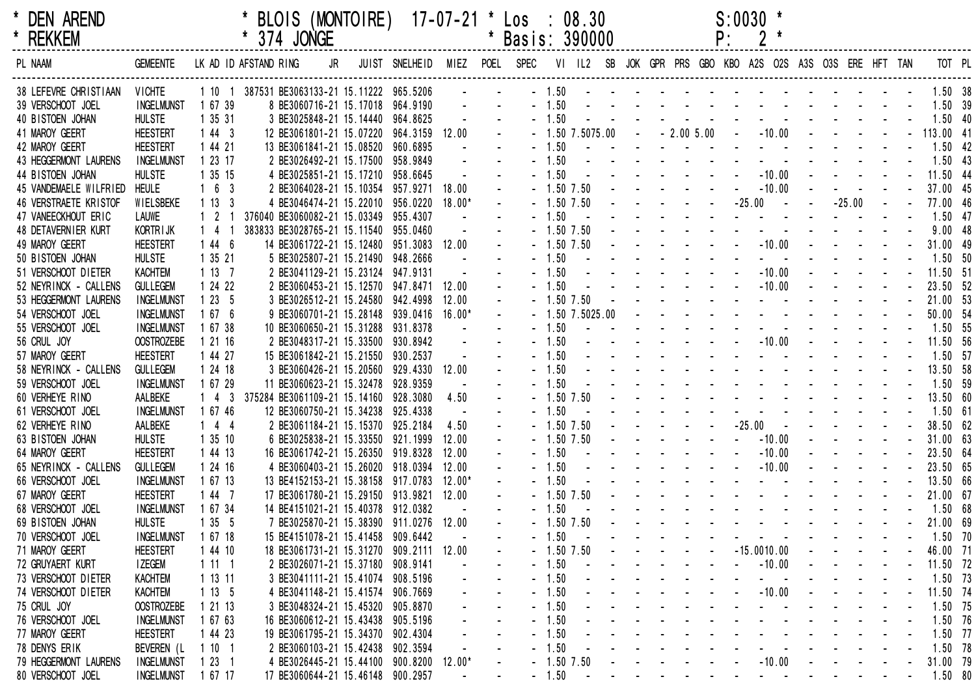| × |               | <b>DEN AREND</b> |
|---|---------------|------------------|
| × | <b>DEVIEN</b> |                  |

|  | * BLOIS (MONTOIRE) 17-07-21 * Los : 08.30 |  |  |
|--|-------------------------------------------|--|--|
|  |                                           |  |  |

 $\begin{array}{ccc} 08.30 & \text{S:0030} \\ 390000 & \text{P:} & 2 \end{array}$  \*

| <b>REKKEM</b><br>$\star$            |                                     |                  |                       | * 374 JONGE                                                                 |    |                                                                                                |          | * Basis: 390000    |                  |                                                                                                                                                                                                                                |  | P:                            | $2*$                                                                                                                                                                                                                                                                                |  |          |        |                    |  |
|-------------------------------------|-------------------------------------|------------------|-----------------------|-----------------------------------------------------------------------------|----|------------------------------------------------------------------------------------------------|----------|--------------------|------------------|--------------------------------------------------------------------------------------------------------------------------------------------------------------------------------------------------------------------------------|--|-------------------------------|-------------------------------------------------------------------------------------------------------------------------------------------------------------------------------------------------------------------------------------------------------------------------------------|--|----------|--------|--------------------|--|
| PL NAAM                             | <b>GEMEENTE</b>                     |                  | LK AD ID AFSTAND RING |                                                                             | JR | JUIST SNELHEID MIEZ POEL SPEC VI IL2 SB JOK GPR PRS GBO KBO A2S O2S A3S O3S ERE HFT TAN TOT PL |          |                    |                  |                                                                                                                                                                                                                                |  |                               |                                                                                                                                                                                                                                                                                     |  |          |        |                    |  |
| 38 LEFEVRE CHRISTIAAN               | <b>VICHTE</b>                       |                  |                       | 1 10 1 387531 BE3063133-21 15.11222 965.5206                                |    |                                                                                                |          |                    |                  |                                                                                                                                                                                                                                |  |                               |                                                                                                                                                                                                                                                                                     |  |          |        |                    |  |
| 39 VERSCHOOT JOEL                   | <b>INGELMUNST</b>                   | 1 67 39          |                       | 8 BE3060716-21 15.17018 964.9190                                            |    |                                                                                                |          |                    |                  |                                                                                                                                                                                                                                |  |                               | $-1.50$ . The set of the set of the set of the set of the set of the set of the set of the set of the set of the set of the set of the set of the set of the set of the set of the set of the set of the set of the set of th                                                       |  |          |        | 1.50 39            |  |
| 40 BISTOEN JOHAN                    | <b>HULSTE</b>                       | 1 35 31          |                       | 3 BE3025848-21 15.14440 964.8625                                            |    |                                                                                                |          | $-1.50$            |                  |                                                                                                                                                                                                                                |  |                               | the contract of the contract of the contract of                                                                                                                                                                                                                                     |  |          |        | $1.50$ 40          |  |
| 41 MAROY GEERT                      | <b>HEESTERT</b>                     | 1443             |                       | 12 BE3061801-21 15.07220 964.3159                                           |    |                                                                                                | 12.00    |                    |                  |                                                                                                                                                                                                                                |  |                               | $-1.50$ 7.5075.00 $-2.00$ 5.00 $-10.00$ $-2.00$ $-10.00$ $-2.00$ $-10.00$ $-2.00$ $-1.50$                                                                                                                                                                                           |  |          |        |                    |  |
| 42 MAROY GEERT                      | <b>HEESTERT</b>                     | 1 44 21          |                       | 13 BE3061841-21 15.08520 960.6895                                           |    |                                                                                                |          | $-1.50$            |                  |                                                                                                                                                                                                                                |  |                               | the contract of the contract of the contract of the contract of the contract of the contract of the contract of                                                                                                                                                                     |  |          |        | $1.50$ 42          |  |
| 43 HEGGERMONT LAURENS               | <b>INGELMUNST</b>                   | 1 23 17          |                       | 2 BE3026492-21 15.17500 958.9849                                            |    |                                                                                                |          | $-1.50$            |                  |                                                                                                                                                                                                                                |  |                               | the contract of the contract of the contract of                                                                                                                                                                                                                                     |  |          |        | $1.50$ 43          |  |
| 44 BISTOEN JOHAN                    | <b>HULSTE</b>                       | 1 35 15          |                       | 4 BE3025851-21 15.17210 958.6645                                            |    |                                                                                                |          | $-1.50$            |                  |                                                                                                                                                                                                                                |  |                               | . 10.00                                                                                                                                                                                                                                                                             |  |          |        | 11.50 44           |  |
| 45 VANDEMAELE WILFRIED              | <b>HEULE</b>                        | 163              |                       | 2 BE3064028-21 15.10354 957.9271                                            |    |                                                                                                | 18.00    |                    | $-1.50$ 7.50     | the contract of the contract of the contract of the contract of the contract of the contract of the contract of the contract of the contract of the contract of the contract of the contract of the contract of the contract o |  |                               | $-10.00$                                                                                                                                                                                                                                                                            |  |          |        | 37.00 45           |  |
| 46 VERSTRAETE KRISTOF               | WIELSBEKE                           | 1133             |                       | 4 BE3046474-21 15.22010 956.0220                                            |    |                                                                                                | $18.00*$ |                    | $-1.50$ 7.50     |                                                                                                                                                                                                                                |  |                               |                                                                                                                                                                                                                                                                                     |  | $-25.00$ | $\sim$ | 77.00 46           |  |
| 47 VANEECKHOUT ERIC                 | LAUWE                               | $1\quad 2$       |                       | 376040 BE3060082-21 15.03349 955.4307                                       |    |                                                                                                |          | $-1.50$            |                  |                                                                                                                                                                                                                                |  |                               | the company of the company of the company of the company of the company of the company of the company of the company of the company of the company of the company of the company of the company of the company of the company                                                       |  |          |        | $1.50$ 47          |  |
| 48 DETAVERNIER KURT                 | KORTR I JK                          | $1 \quad 4$      |                       | 383833 BE3028765-21 15.11540 955.0460                                       |    |                                                                                                |          |                    | $-1.50$ 7.50     |                                                                                                                                                                                                                                |  |                               | the contract of the contract of the contract of the contract of the contract of the contract of the contract of                                                                                                                                                                     |  |          |        | 9.0048             |  |
| 49 MAROY GEERT                      | <b>HEESTERT</b>                     | 1446             |                       | 14 BE3061722-21 15.12480 951.3083 12.00                                     |    |                                                                                                |          |                    | $-1.50$ 7.50     |                                                                                                                                                                                                                                |  |                               | $      10.00$ $   -$                                                                                                                                                                                                                                                                |  |          |        | 31.00 49           |  |
| 50 BISTOEN JOHAN                    | <b>HULSTE</b>                       | 1 35 21          |                       | 5 BE3025807-21 15.21490 948.2666                                            |    |                                                                                                |          | $-1.50$            | $\sim 100$       |                                                                                                                                                                                                                                |  | and the second control of the | and the state of the state of                                                                                                                                                                                                                                                       |  |          |        | 1.50 50            |  |
| 51 VERSCHOOT DIETER                 | <b>KACHTEM</b>                      | 1137             |                       | 2 BE3041129-21 15.23124 947.9131                                            |    |                                                                                                |          | $-1.50$            |                  |                                                                                                                                                                                                                                |  |                               | $        10.00$ $    -$                                                                                                                                                                                                                                                             |  |          |        | 11.50 51           |  |
| 52 NEYRINCK - CALLENS               | <b>GULLEGEM</b>                     | 1 24 22          |                       | 2 BE3060453-21 15.12570 947.8471 12.00                                      |    |                                                                                                |          | $-1.50$            |                  |                                                                                                                                                                                                                                |  |                               | . - 10.00 - - - -                                                                                                                                                                                                                                                                   |  |          |        | 23.50 52           |  |
| 53 HEGGERMONT LAURENS               | <b>INGELMUNST</b>                   | 1235             |                       | 3 BE3026512-21 15.24580 942.4998                                            |    |                                                                                                | 12.00    |                    | $-1.50$ 7.50     |                                                                                                                                                                                                                                |  |                               | the contract of the contract of the contract of                                                                                                                                                                                                                                     |  |          |        | 21.00 53           |  |
| 54 VERSCHOOT JOEL                   | <b>INGELMUNST</b>                   | 1676             |                       | 9 BE3060701-21 15.28148 939.0416                                            |    |                                                                                                | $16.00*$ |                    | $-1.507.5025.00$ |                                                                                                                                                                                                                                |  |                               | the contract of the contract of the contract of                                                                                                                                                                                                                                     |  |          |        | 50.00 54           |  |
| 55 VERSCHOOT JOEL                   | <b>INGELMUNST</b>                   | 1 67 38          |                       | 10 BE3060650-21 15.31288 931.8378                                           |    |                                                                                                |          | $-1.50$            |                  |                                                                                                                                                                                                                                |  |                               | the contract of the contract of the contract of the contract of the contract of the contract of the contract of                                                                                                                                                                     |  |          |        | 1.50 55            |  |
| 56 CRUL JOY                         | <b>OOSTROZEBE</b>                   | 1 21 16          |                       | 2 BE3048317-21 15.33500 930.8942                                            |    |                                                                                                |          | $-1.50$            |                  |                                                                                                                                                                                                                                |  |                               |                                                                                                                                                                                                                                                                                     |  |          |        | 11.50 56           |  |
| 57 MAROY GEERT                      | <b>HEESTERT</b>                     | 1 44 27          |                       | 15 BE3061842-21 15.21550 930.2537                                           |    |                                                                                                |          | $-1.50$            |                  |                                                                                                                                                                                                                                |  |                               | the contract of the contract of the contract of the contract of the contract of the contract of the contract of                                                                                                                                                                     |  |          |        | 1.50 57            |  |
| 58 NEYRINCK - CALLENS               | <b>GULLEGEM</b>                     | 1 24 18          |                       | 3 BE3060426-21 15.20560 929.4330                                            |    |                                                                                                | 12.00    | $-1.50$            |                  |                                                                                                                                                                                                                                |  |                               | the contract of the contract of the contract of the contract of the contract of the contract of the contract of                                                                                                                                                                     |  |          |        | 13.50 58           |  |
| 59 VERSCHOOT JOEL                   | <b>INGELMUNST</b>                   | 1 67 29          |                       | 11 BE3060623-21 15.32478 928.9359                                           |    |                                                                                                |          | $-1.50$            |                  |                                                                                                                                                                                                                                |  |                               | the second contract of the second contract of the<br>the second contract of the second contract of the second second contract of the second second second second second second second second second second second second second second second second second second second second se |  |          |        | 1.50 59            |  |
| 60 VERHEYE RINO                     | AALBEKE                             | 1 4 3            |                       | 375284 BE3061109-21 15.14160 928.3080                                       |    |                                                                                                | 4.50     |                    | $-1.50$ $7.50$   |                                                                                                                                                                                                                                |  |                               | the contract of the contract of the contract of the contract of the contract of the contract of the contract of                                                                                                                                                                     |  |          |        | 13.50 60           |  |
| 61 VERSCHOOT JOEL                   | <b>INGELMUNST</b>                   | 1 67 46          |                       | 12 BE3060750-21 15.34238 925.4338                                           |    |                                                                                                |          | $-1.50$            |                  |                                                                                                                                                                                                                                |  |                               |                                                                                                                                                                                                                                                                                     |  |          |        | $1.50$ 61          |  |
| 62 VERHEYE RINO                     | AALBEKE                             | 144              |                       | 2 BE3061184-21 15.15370 925.2184                                            |    |                                                                                                | 4.50     |                    | $-1.50$ 7.50     |                                                                                                                                                                                                                                |  |                               |                                                                                                                                                                                                                                                                                     |  |          |        | 38.50 62           |  |
| 63 BISTOEN JOHAN                    | <b>HULSTE</b>                       | 1 35 10          |                       | 6 BE3025838-21 15.33550 921.1999                                            |    |                                                                                                | 12.00    |                    | $-1.50$ 7.50     | and the state of the state of the                                                                                                                                                                                              |  | $\sim 100$                    | $-10.00$                                                                                                                                                                                                                                                                            |  |          |        | 31.00 63           |  |
| 64 MAROY GEERT                      | <b>HEESTERT</b>                     | 1 44 13          |                       | 16 BE3061742-21 15.26350 919.8328                                           |    |                                                                                                | 12.00    | $-1.50$            |                  | and the state of the state of the state of the state of the state of the state of the state of the state of the                                                                                                                |  |                               | $-10.00$                                                                                                                                                                                                                                                                            |  |          |        | 23.50 64           |  |
| 65 NEYRINCK - CALLENS               | <b>GULLEGEM</b>                     | 1 24 16          |                       | 4 BE3060403-21 15.26020 918.0394                                            |    |                                                                                                | 12.00    | $-1.50$            |                  |                                                                                                                                                                                                                                |  |                               | the contract of the contract of the contract of the contract of the contract of the contract of the contract of                                                                                                                                                                     |  |          |        | 23.50 65           |  |
| 66 VERSCHOOT JOEL<br>67 MAROY GEERT | <b>INGELMUNST</b>                   | 1 67 13          |                       | 13 BE4152153-21 15.38158 917.0783                                           |    |                                                                                                | $12.00*$ | $-1.50$            |                  |                                                                                                                                                                                                                                |  |                               | the second contract of the second contract of                                                                                                                                                                                                                                       |  |          |        | 13.50 66           |  |
|                                     | <b>HEESTERT</b>                     | 1447             |                       | 17 BE3061780-21 15.29150 913.9821                                           |    |                                                                                                | 12.00    |                    | $-1.50$ $7.50$   |                                                                                                                                                                                                                                |  |                               | the contract of the contract of the contract of the contract of the contract of the contract of the contract of                                                                                                                                                                     |  |          |        | 21.00 67           |  |
| 68 VERSCHOOT JOEL                   | <b>INGELMUNST</b>                   | 1 67 34          |                       | 14 BE4151021-21 15.40378 912.0382<br>7 BE3025870-21 15.38390 911.0276 12.00 |    |                                                                                                |          | $-1.50$            | $-1.50$ 7.50     |                                                                                                                                                                                                                                |  |                               | the contract of the contract of the contract of the contract of the contract of the contract of the contract of                                                                                                                                                                     |  |          |        | 1.5068<br>21.00 69 |  |
| 69 BISTOEN JOHAN                    | <b>HULSTE</b><br><b>INGELMUNST</b>  | 1355             |                       |                                                                             |    |                                                                                                |          | $-1.50$            | $\sim 100$       |                                                                                                                                                                                                                                |  |                               | the contract of the contract of the contract of the contract of the contract of the contract of the contract of                                                                                                                                                                     |  |          |        |                    |  |
| 70 VERSCHOOT JOEL                   | <b>HEESTERT</b>                     | 1 67 18          |                       | 15 BE4151078-21 15.41458 909.6442                                           |    |                                                                                                |          |                    |                  |                                                                                                                                                                                                                                |  |                               | $-15.0010.00$ $   -$                                                                                                                                                                                                                                                                |  |          |        | $1.50$ 70          |  |
| 71 MAROY GEERT                      |                                     | 1 44 10          |                       | 18 BE3061731-21 15.31270 909.2111 12.00                                     |    |                                                                                                |          |                    | $-1.50$ 7.50     |                                                                                                                                                                                                                                |  |                               |                                                                                                                                                                                                                                                                                     |  |          |        | 46.00 71           |  |
| 72 GRUYAERT KURT                    | <b>IZEGEM</b>                       | 1111             |                       | 2 BE3026071-21 15.37180 908.9141                                            |    |                                                                                                |          | $-1.50$            |                  |                                                                                                                                                                                                                                |  |                               | $-10.00$                                                                                                                                                                                                                                                                            |  |          |        | 11.50 72           |  |
| 73 VERSCHOOT DIETER                 | <b>KACHTEM</b>                      | 1 13 11          |                       | 3 BE3041111-21 15.41074 908.5196                                            |    |                                                                                                |          | $-1.50$            |                  |                                                                                                                                                                                                                                |  | $\mathbf{r}$                  | $-10.00$                                                                                                                                                                                                                                                                            |  |          |        | $1.50$ 73          |  |
| 74 VERSCHOOT DIETER                 | <b>KACHTEM</b><br><b>OOSTROZEBE</b> | 1135             |                       | 4 BE3041148-21 15.41574 906.7669<br>3 BE3048324-21 15.45320 905.8870        |    |                                                                                                |          | $-1.50$<br>$-1.50$ |                  |                                                                                                                                                                                                                                |  |                               |                                                                                                                                                                                                                                                                                     |  |          |        | 11.50 74           |  |
| 75 CRUL JOY                         |                                     | 1 21 13          |                       |                                                                             |    |                                                                                                |          |                    |                  |                                                                                                                                                                                                                                |  |                               |                                                                                                                                                                                                                                                                                     |  |          |        | 1.50 75            |  |
| 76 VERSCHOOT JOEL                   | <b>INGELMUNST</b>                   | 1 67 63          |                       | 16 BE3060612-21 15.43438 905.5196                                           |    |                                                                                                |          | $-1.50$            |                  |                                                                                                                                                                                                                                |  |                               |                                                                                                                                                                                                                                                                                     |  |          |        | 1.50 76            |  |
| 77 MAROY GEERT                      | <b>HEESTERT</b>                     | 1 44 23          |                       | 19 BE3061795-21 15.34370 902.4304                                           |    |                                                                                                |          | $-1.50$<br>$-1.50$ |                  |                                                                                                                                                                                                                                |  |                               |                                                                                                                                                                                                                                                                                     |  |          |        | $1.50$ 77          |  |
| 78 DENYS ERIK                       | BEVEREN (L                          | 1101             |                       | 2 BE3060103-21 15.42438 902.3594                                            |    |                                                                                                |          |                    |                  |                                                                                                                                                                                                                                |  |                               | $-10.00$                                                                                                                                                                                                                                                                            |  |          |        | $1.50$ 78          |  |
| 79 HEGGERMONT LAURENS               | <b>INGELMUNST</b>                   | 123 <sub>1</sub> |                       | 4 BE3026445-21 15.44100 900.8200                                            |    |                                                                                                | $12.00*$ |                    | $-1.50$ 7.50     |                                                                                                                                                                                                                                |  |                               |                                                                                                                                                                                                                                                                                     |  |          |        | 31.00 79           |  |
| 80 VERSCHOOT JOEL                   | <b>INGELMUNST</b>                   | 1 67 17          |                       | 17 BE3060644-21 15.46148 900.2957                                           |    |                                                                                                |          | $-1.50$            |                  |                                                                                                                                                                                                                                |  |                               |                                                                                                                                                                                                                                                                                     |  |          |        | 1.50 80            |  |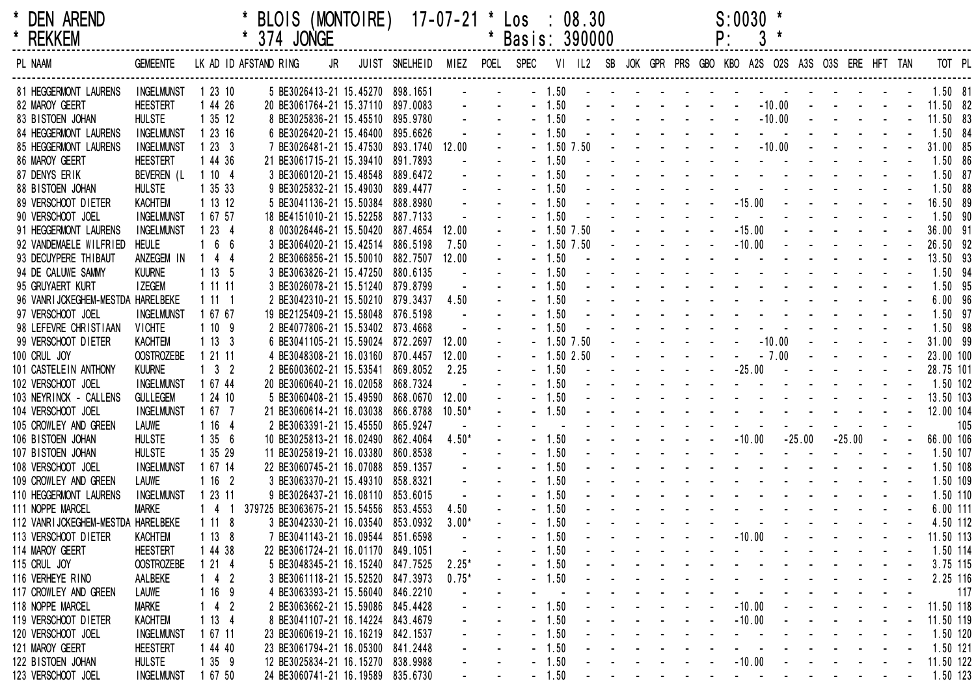| * DEN AREND<br>* REKKEM                    |                                        |                     | * BLOIS (MONTOIRE) 17-07-21 * Los : 08.30<br>* 374 JONGE                                                          |                                                                             |  |         |                                                                     |                    |                                                                                                                                                                                                                                      |  |                                                                                                                                                                                                                                                                                                                                                   | $S:0030$ *<br>P: |          | $3*$ |                                   |  |                  |                                               |     |
|--------------------------------------------|----------------------------------------|---------------------|-------------------------------------------------------------------------------------------------------------------|-----------------------------------------------------------------------------|--|---------|---------------------------------------------------------------------|--------------------|--------------------------------------------------------------------------------------------------------------------------------------------------------------------------------------------------------------------------------------|--|---------------------------------------------------------------------------------------------------------------------------------------------------------------------------------------------------------------------------------------------------------------------------------------------------------------------------------------------------|------------------|----------|------|-----------------------------------|--|------------------|-----------------------------------------------|-----|
| PL NAAM                                    | <b>GEMEENTE</b>                        |                     | LKADIDAFSTANDRING JR JUIST SNELHEID MIEZ POEL SPEC VI IL2 SB JOK GPRPRS GBO KBO A2S O2S A3S O3S ERE HFT TANTOT PL |                                                                             |  |         |                                                                     |                    |                                                                                                                                                                                                                                      |  |                                                                                                                                                                                                                                                                                                                                                   |                  |          |      |                                   |  |                  |                                               |     |
| 81 HEGGERMONT LAURENS                      | INGELMUNST 1 23 10                     |                     |                                                                                                                   | 5 BE3026413-21 15.45270 898.1651                                            |  |         |                                                                     |                    | $-1.50$ . The set of the set of the set of the set of the set of the set of the set of the set of the set of the set of the set of the set of the set of the set of the set of the set of the set of the set of the set of th        |  |                                                                                                                                                                                                                                                                                                                                                   |                  |          |      |                                   |  |                  | 1.50 81                                       |     |
| 82 MAROY GEERT                             | <b>HEESTERT</b>                        | 1 44 26             |                                                                                                                   | 20 BE3061764-21 15.37110 897.0083                                           |  |         | <b>Service State</b>                                                |                    | $-1.50$ $      -$                                                                                                                                                                                                                    |  |                                                                                                                                                                                                                                                                                                                                                   |                  |          |      |                                   |  |                  | $-10.00$ $     11.50$ 82                      |     |
| 83 BISTOEN JOHAN                           | <b>HULSTE</b>                          | 1 35 12             |                                                                                                                   | 8 BE3025836-21 15.45510 895.9780                                            |  |         | $\Delta \phi = 0.01$ and                                            |                    | $-1.50$ $      -$                                                                                                                                                                                                                    |  |                                                                                                                                                                                                                                                                                                                                                   |                  |          |      |                                   |  |                  | $-10.00$ $     11.50$ 83                      |     |
| 84 HEGGERMONT LAURENS                      | <b>INGELMUNST</b>                      | 1 23 16             |                                                                                                                   | 6 BE3026420-21 15.46400 895.6626                                            |  |         |                                                                     | $-1.50$            |                                                                                                                                                                                                                                      |  | the contract of the contract of the contract of the contract of                                                                                                                                                                                                                                                                                   |                  |          |      |                                   |  |                  | 1.50 84                                       |     |
| 85 HEGGERMONT LAURENS                      | <b>INGELMUNST</b>                      | 1233                |                                                                                                                   | 7 BE3026481-21 15.47530 893.1740 12.00                                      |  |         | $\Delta \phi$                                                       |                    | $-1.50$ 7.50 $     -$                                                                                                                                                                                                                |  |                                                                                                                                                                                                                                                                                                                                                   |                  |          |      |                                   |  | $-10.00$ $    -$ | 31.00 85                                      |     |
| 86 MAROY GEERT                             | <b>HEESTERT</b>                        | 1 44 36             |                                                                                                                   | 21 BE3061715-21 15.39410 891.7893                                           |  |         |                                                                     | $-1.50$            |                                                                                                                                                                                                                                      |  | the contract of the contract of the contract of the contract of the contract of the contract of the contract of<br>the second contract of the second contract of the second contract of the second contract of the second contract of the second contract of the second contract of the second contract of the second contract of the second cont |                  |          |      |                                   |  |                  | 1.50 86                                       |     |
| 87 DENYS ERIK                              | BEVEREN (L                             | 1104                |                                                                                                                   | 3 BE3060120-21 15.48548 889.6472                                            |  |         |                                                                     | $-1.50$            |                                                                                                                                                                                                                                      |  | and a series of the contract of the series of the                                                                                                                                                                                                                                                                                                 |                  |          |      |                                   |  |                  | 1.50 87                                       |     |
| 88 BISTOEN JOHAN                           | <b>HULSTE</b>                          | 1 35 33             |                                                                                                                   | 9 BE3025832-21 15.49030 889.4477                                            |  |         | $\Delta \phi$                                                       | $-1.50$            |                                                                                                                                                                                                                                      |  |                                                                                                                                                                                                                                                                                                                                                   |                  |          |      |                                   |  |                  | 1.50 88                                       |     |
| 89 VERSCHOOT DIETER                        | KACHTEM                                | 1 13 12             |                                                                                                                   | 5 BE3041136-21 15.50384 888.8980                                            |  |         |                                                                     | $-1.50$<br>$-1.50$ |                                                                                                                                                                                                                                      |  |                                                                                                                                                                                                                                                                                                                                                   |                  |          |      |                                   |  |                  | 16.50 89<br>1.50 90                           |     |
| 90 VERSCHOOT JOEL<br>91 HEGGERMONT LAURENS | <b>INGELMUNST</b><br><b>INGELMUNST</b> | 1 67 57<br>1234     |                                                                                                                   | 18 BE4151010-21 15.52258 887.7133<br>8 003026446-21 15.50420 887.4654 12.00 |  |         | $\sim$ $^{-1}$                                                      |                    | $-1.50$ 7.50 $   -$                                                                                                                                                                                                                  |  |                                                                                                                                                                                                                                                                                                                                                   |                  |          |      | $-15.00$ $     -$                 |  |                  | 36.00 91                                      |     |
| 92 VANDEMAELE WILFRIED                     | <b>HEULE</b>                           | 166                 |                                                                                                                   | 3 BE3064020-21 15.42514 886.5198                                            |  | 7.50    |                                                                     |                    | $-1.50$ 7.50 $   -$                                                                                                                                                                                                                  |  |                                                                                                                                                                                                                                                                                                                                                   |                  |          |      | $-10.00$ $     -$                 |  |                  | 26.50 92                                      |     |
| 93 DECUYPERE THIBAUT                       | ANZEGEM IN                             | $144$               |                                                                                                                   | 2 BE3066856-21 15.50010 882.7507 12.00                                      |  |         |                                                                     | $-1.50$            |                                                                                                                                                                                                                                      |  | the contract of the contract of the contract of the contract of                                                                                                                                                                                                                                                                                   |                  |          |      |                                   |  |                  | 13.50 93                                      |     |
| 94 DE CALUWE SAMMY                         | <b>KUURNE</b>                          | 1135                |                                                                                                                   | 3 BE3063826-21 15.47250 880.6135                                            |  |         |                                                                     | $-1.50$            |                                                                                                                                                                                                                                      |  | the contract of the contract of the contract of the contract of                                                                                                                                                                                                                                                                                   |                  |          |      |                                   |  |                  | 1.50 94                                       |     |
| 95 GRUYAERT KURT                           | I ZEGEM                                | 1 11 11             |                                                                                                                   | 3 BE3026078-21 15.51240 879.8799                                            |  |         |                                                                     | $-1.50$            |                                                                                                                                                                                                                                      |  | the contract of the contract of the contract of the contract of the contract of the contract of the contract of                                                                                                                                                                                                                                   |                  |          |      |                                   |  |                  | 1.50 95                                       |     |
| 96 VANRIJCKEGHEM-MESTDA HARELBEKE          |                                        | 1111                |                                                                                                                   | 2 BE3042310-21 15.50210 879.3437                                            |  | 4.50    | $\sim$                                                              | $-1.50$            |                                                                                                                                                                                                                                      |  | the contract of the contract of the contract of the contract of the contract of the contract of the contract of                                                                                                                                                                                                                                   |                  |          |      |                                   |  |                  | 6.00 96                                       |     |
| 97 VERSCHOOT JOEL                          | <b>INGELMUNST</b>                      | 1 67 67             |                                                                                                                   | 19 BE2125409-21 15.58048 876.5198                                           |  |         |                                                                     | $-1.50$            |                                                                                                                                                                                                                                      |  | the contract of the contract of the contract of the contract of the contract of the contract of the contract of                                                                                                                                                                                                                                   |                  |          |      |                                   |  |                  | 1.50 97                                       |     |
| 98 LEFEVRE CHRISTIAAN                      | <b>VICHTE</b>                          | 1109                |                                                                                                                   | 2 BE4077806-21 15.53402 873.4668                                            |  |         |                                                                     | $-1.50$            |                                                                                                                                                                                                                                      |  | the second contract of the second contract of the second second contract of the second second second second second second second second second second second second second second second second second second second second se                                                                                                                    |                  |          |      |                                   |  |                  | 1.50 98                                       |     |
| 99 VERSCHOOT DIETER                        | KACHTEM                                | 1133                |                                                                                                                   | 6 BE3041105-21 15.59024 872.2697                                            |  | 12.00   |                                                                     |                    | $-1.50$ 7.50 $     -$                                                                                                                                                                                                                |  |                                                                                                                                                                                                                                                                                                                                                   |                  |          |      |                                   |  | $-10.00$ $    -$ | 31.00 99                                      |     |
| 100 CRUL JOY                               | <b>OOSTROZEBE</b>                      | 1 21 11             |                                                                                                                   | 4 BE3048308-21 16.03160 870.4457                                            |  | 12.00   |                                                                     |                    | $-1.502.50$ $   -$                                                                                                                                                                                                                   |  |                                                                                                                                                                                                                                                                                                                                                   |                  |          |      | $-7.00$ $    -$                   |  |                  | 23.00 100                                     |     |
| 101 CASTELEIN ANTHONY                      | <b>KUURNE</b>                          | $1 \quad 3 \quad 2$ |                                                                                                                   | 2 BE6003602-21 15.53541 869.8052                                            |  | 2.25    |                                                                     | $-1.50$            |                                                                                                                                                                                                                                      |  |                                                                                                                                                                                                                                                                                                                                                   |                  |          |      |                                   |  |                  | 28.75 101                                     |     |
| 102 VERSCHOOT JOEL                         | <b>INGELMUNST</b>                      | 1 67 44             |                                                                                                                   | 20 BE3060640-21 16.02058 868.7324                                           |  |         |                                                                     | $-1.50$            |                                                                                                                                                                                                                                      |  | the contract of the contract of the contract of the contract of                                                                                                                                                                                                                                                                                   |                  |          |      |                                   |  |                  | 1.50 102                                      |     |
| 103 NEYRINCK - CALLENS                     | <b>GULLEGEM</b>                        | 1 24 10             |                                                                                                                   | 5 BE3060408-21 15.49590 868.0670 12.00                                      |  |         |                                                                     | $-1.50$            |                                                                                                                                                                                                                                      |  |                                                                                                                                                                                                                                                                                                                                                   |                  |          |      |                                   |  |                  | <u>.</u> 13.50 103                            |     |
| 104 VERSCHOOT JOEL                         | <b>INGELMUNST</b>                      | 1 67 7              |                                                                                                                   | 21 BE3060614-21 16.03038 866.8788 10.50*                                    |  |         |                                                                     |                    | - 1.50 <b>and a series of the series of the series of the series of the series of the series of the series of the series of the series of the series of the series of the series of the series of the series of the series of th</b> |  |                                                                                                                                                                                                                                                                                                                                                   |                  |          |      |                                   |  |                  | 12.00 104                                     |     |
| 105 CROWLEY AND GREEN                      | LAUWE                                  | 1 16 4              |                                                                                                                   | 2 BE3063391-21 15.45550 865.9247                                            |  |         |                                                                     |                    |                                                                                                                                                                                                                                      |  |                                                                                                                                                                                                                                                                                                                                                   |                  |          |      |                                   |  |                  |                                               | 105 |
| 106 BISTOEN JOHAN                          | <b>HULSTE</b>                          | 1356                |                                                                                                                   | 10 BE3025813-21 16.02490 862.4064                                           |  | $4.50*$ |                                                                     | $-1.50$            |                                                                                                                                                                                                                                      |  | $       10.00$                                                                                                                                                                                                                                                                                                                                    |                  |          |      | $-25.00 -25.00 - -$               |  |                  | 66.00 106                                     |     |
| 107 BISTOEN JOHAN                          | <b>HULSTE</b>                          | 1 35 29             |                                                                                                                   | 11 BE3025819-21 16.03380 860.8538                                           |  |         |                                                                     | $-1.50$            |                                                                                                                                                                                                                                      |  | the company of the company of the company of the company of the company of the company of the company of the company of the company of the company of the company of the company of the company of the company of the company                                                                                                                     |                  |          |      |                                   |  |                  | 1.50 107                                      |     |
| 108 VERSCHOOT JOEL                         | <b>INGELMUNST</b>                      | 1 67 14             |                                                                                                                   | 22 BE3060745-21 16.07088 859.1357                                           |  |         |                                                                     | $-1.50$            |                                                                                                                                                                                                                                      |  | and the contract of the contract of the contract of                                                                                                                                                                                                                                                                                               |                  |          |      |                                   |  |                  | 1.50 108                                      |     |
| 109 CROWLEY AND GREEN                      | LAUWE                                  | 1162                |                                                                                                                   | 3 BE3063370-21 15.49310 858.8321                                            |  |         |                                                                     | $-1.50$            |                                                                                                                                                                                                                                      |  | and the second contract of the second contract of the second contract of the second contract of the second contract of the second contract of the second contract of the second contract of the second contract of the second                                                                                                                     |                  |          |      |                                   |  |                  | 1.50 109                                      |     |
| 110 HEGGERMONT LAURENS                     | INGELMUNST 1 23 11                     |                     |                                                                                                                   | 9 BE3026437-21 16.08110 853.6015                                            |  |         |                                                                     | $-1.50$            |                                                                                                                                                                                                                                      |  | the contract of the contract of the contract of the contract of the contract of the contract of the contract of                                                                                                                                                                                                                                   |                  |          |      |                                   |  |                  | 1.50 110                                      |     |
| 111 NOPPE MARCEL                           | <b>MARKE</b>                           |                     | 1 4 1 379725 BE3063675-21 15.54556 853.4553                                                                       |                                                                             |  | 4.50    |                                                                     | $-1.50$            |                                                                                                                                                                                                                                      |  | and a series of the contract of the contract of the contract of the contract of the contract of the contract of                                                                                                                                                                                                                                   |                  |          |      |                                   |  |                  | 6.00 111                                      |     |
| 112 VANRIJCKEGHEM-MESTDA HARELBEKE 111 8   |                                        |                     |                                                                                                                   | 3 BE3042330-21 16.03540 853.0932 3.00*                                      |  |         |                                                                     |                    |                                                                                                                                                                                                                                      |  |                                                                                                                                                                                                                                                                                                                                                   |                  |          |      |                                   |  |                  | 4.50 112                                      |     |
| 113 VERSCHOOT DIETER                       | KACHTEM                                | 1138                |                                                                                                                   | 7 BE3041143-21 16.09544 851.6598                                            |  |         |                                                                     | $-1.50$            |                                                                                                                                                                                                                                      |  |                                                                                                                                                                                                                                                                                                                                                   |                  |          |      |                                   |  |                  | - - - - - - - - 10.00 - - - - - - - 11.50 113 |     |
| 114 MAROY GEERT                            | <b>HEESTERT</b>                        | 1 44 38             |                                                                                                                   | 22 BE3061724-21 16.01170 849.1051                                           |  |         |                                                                     | $-1.50$            |                                                                                                                                                                                                                                      |  |                                                                                                                                                                                                                                                                                                                                                   |                  |          |      |                                   |  |                  | 1.50 114                                      |     |
| 115 CRUL JOY                               | <b>OOSTROZEBE</b>                      | 1 21 4              |                                                                                                                   | 5 BE3048345-21 16.15240 847.7525                                            |  | $2.25*$ |                                                                     | $-1.50$            |                                                                                                                                                                                                                                      |  |                                                                                                                                                                                                                                                                                                                                                   |                  |          |      | and a series of the series of     |  |                  | 3.75 115                                      |     |
| 116 VERHEYE RINO                           | AALBEKE                                | $142$               |                                                                                                                   | 3 BE3061118-21 15.52520 847.3973                                            |  | $0.75*$ |                                                                     | $-1.50$            |                                                                                                                                                                                                                                      |  |                                                                                                                                                                                                                                                                                                                                                   |                  |          |      |                                   |  |                  | 2.25 116                                      |     |
| 117 CROWLEY AND GREEN                      | LAUWE                                  | 1 16 9              |                                                                                                                   | 4 BE3063393-21 15.56040 846.2210                                            |  |         |                                                                     |                    |                                                                                                                                                                                                                                      |  |                                                                                                                                                                                                                                                                                                                                                   |                  |          |      |                                   |  |                  | 117                                           |     |
| 118 NOPPE MARCEL                           | Marke                                  | $142$               |                                                                                                                   | 2 BE3063662-21 15.59086 845.4428                                            |  |         |                                                                     | $-1.50$            |                                                                                                                                                                                                                                      |  | and the state of the state of the                                                                                                                                                                                                                                                                                                                 |                  | $-10.00$ |      | and the state of the state of the |  |                  | 11.50 118                                     |     |
| 119 VERSCHOOT DIETER                       | KACHTEM                                | 1134                |                                                                                                                   | 8 BE3041107-21 16.14224 843.4679                                            |  |         |                                                                     | $-1.50$            |                                                                                                                                                                                                                                      |  |                                                                                                                                                                                                                                                                                                                                                   |                  |          |      |                                   |  |                  | . - 10.00 - - - - - - 11.50 119               |     |
| 120 VERSCHOOT JOEL                         | <b>INGELMUNST</b>                      | 1 67 11             |                                                                                                                   | 23 BE3060619-21 16.16219 842.1537                                           |  |         | $\blacksquare$                                                      |                    |                                                                                                                                                                                                                                      |  |                                                                                                                                                                                                                                                                                                                                                   |                  |          |      |                                   |  |                  |                                               |     |
| 121 MAROY GEERT                            | <b>HEESTERT</b>                        | 1 44 40             |                                                                                                                   | 23 BE3061794-21 16.05300 841.2448                                           |  |         | $\Delta \phi$ and $\Delta \phi$ and $\Delta \phi$ and $\Delta \phi$ |                    |                                                                                                                                                                                                                                      |  |                                                                                                                                                                                                                                                                                                                                                   |                  |          |      |                                   |  |                  | - 1.50 - - - - - - - - - - - - - - - 1.50 121 |     |

122 BISTOEN JOHAN HULSTE 1 35 9 12 BE3025834-21 16.15270 838.9988 - - - 1.50 - - - - - - -10.00 - - - - - - 11.50 122 123 VERSCHOOT JOEL INGELMUNST 1 67 50 24 BE3060741-21 16.19589 835.6730 - - - 1.50 - - - - - - - - - - - - - - 1.50 123